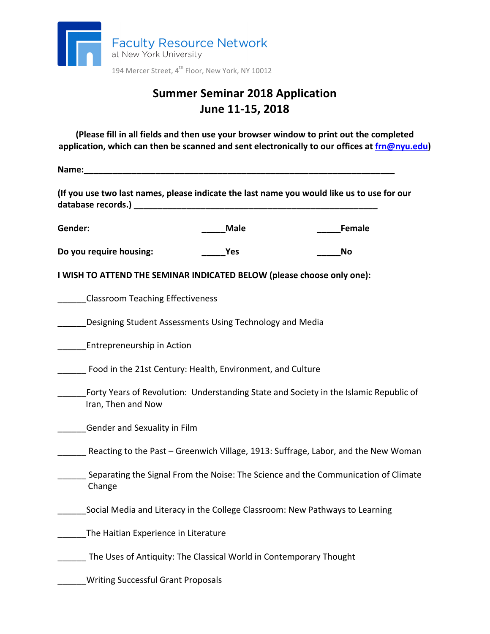

# **Summer Seminar 2018 Application June 11-15, 2018**

**(Please fill in all fields and then use your browser window to print out the completed** application, which can then be scanned and sent electronically to our offices at frn@nyu.edu)

**Name:\_\_\_\_\_\_\_\_\_\_\_\_\_\_\_\_\_\_\_\_\_\_\_\_\_\_\_\_\_\_\_\_\_\_\_\_\_\_\_\_\_\_\_\_\_\_\_\_\_\_\_\_\_\_\_\_\_\_\_\_\_\_\_\_\_**

(If you use two last names, please indicate the last name you would like us to use for our **database records.) \_\_\_\_\_\_\_\_\_\_\_\_\_\_\_\_\_\_\_\_\_\_\_\_\_\_\_\_\_\_\_\_\_\_\_\_\_\_\_\_\_\_\_\_\_\_\_\_\_\_\_**

**Gender: \_\_\_\_\_Male \_\_\_\_\_Female**

**Do** you require housing: **Wes Reserve the SNO** 

**I WISH TO ATTEND THE SEMINAR INDICATED BELOW (please choose only one):** 

\_\_\_\_\_\_Classroom Teaching Effectiveness

Designing Student Assessments Using Technology and Media

Entrepreneurship in Action

**The Exercise Solution** Food in the 21st Century: Health, Environment, and Culture

Forty Years of Revolution: Understanding State and Society in the Islamic Republic of Iran, Then and Now

Gender and Sexuality in Film

Reacting to the Past – Greenwich Village, 1913: Suffrage, Labor, and the New Woman

- \_\_\_\_\_\_ Separating the Signal From the Noise: The Science and the Communication of Climate Change
- Social Media and Literacy in the College Classroom: New Pathways to Learning

The Haitian Experience in Literature

The Uses of Antiquity: The Classical World in Contemporary Thought

\_\_\_\_\_\_Writing Successful Grant Proposals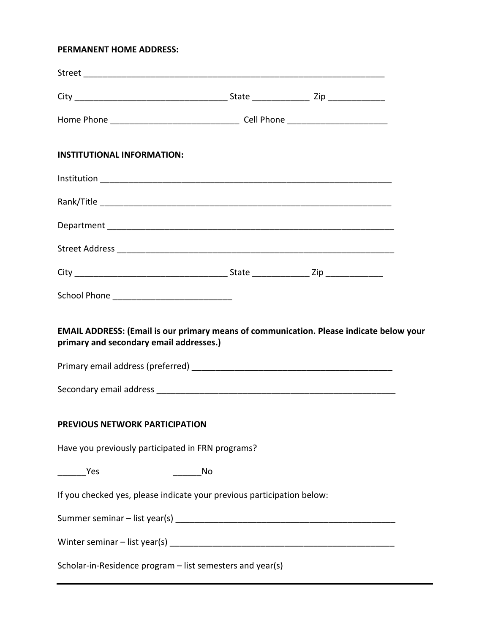### **PERMANENT HOME ADDRESS:**

| <b>INSTITUTIONAL INFORMATION:</b>                                                                                                  |    |  |  |
|------------------------------------------------------------------------------------------------------------------------------------|----|--|--|
|                                                                                                                                    |    |  |  |
|                                                                                                                                    |    |  |  |
|                                                                                                                                    |    |  |  |
|                                                                                                                                    |    |  |  |
|                                                                                                                                    |    |  |  |
|                                                                                                                                    |    |  |  |
| EMAIL ADDRESS: (Email is our primary means of communication. Please indicate below your<br>primary and secondary email addresses.) |    |  |  |
| PREVIOUS NETWORK PARTICIPATION                                                                                                     |    |  |  |
| Have you previously participated in FRN programs?                                                                                  |    |  |  |
| $\frac{1}{2}$ Yes                                                                                                                  | No |  |  |
| If you checked yes, please indicate your previous participation below:                                                             |    |  |  |
|                                                                                                                                    |    |  |  |
|                                                                                                                                    |    |  |  |
| Scholar-in-Residence program - list semesters and year(s)                                                                          |    |  |  |